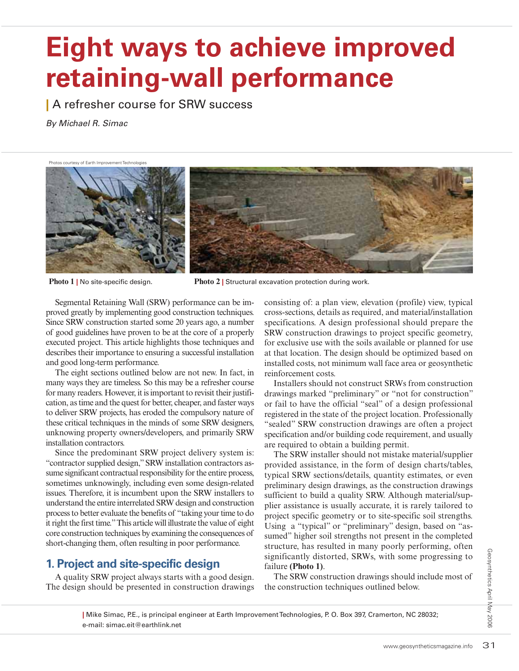# **Eight ways to achieve improved retaining-wall performance**

**|** A refresher course for SRW success

By Michael R. Simac

Photos courtesy of Earth Improvement Technologies



**Photo 1** | No site-specific design. **Photo 2** | Structural excavation protection during work.

Segmental Retaining Wall (SRW) performance can be improved greatly by implementing good construction techniques. Since SRW construction started some 20 years ago, a number of good guidelines have proven to be at the core of a properly executed project. This article highlights those techniques and describes their importance to ensuring a successful installation and good long-term performance.

The eight sections outlined below are not new. In fact, in many ways they are timeless. So this may be a refresher course for many readers. However, it is important to revisit their justification, as time and the quest for better, cheaper, and faster ways to deliver SRW projects, has eroded the compulsory nature of these critical techniques in the minds of some SRW designers, unknowing property owners/developers, and primarily SRW installation contractors.

Since the predominant SRW project delivery system is: "contractor supplied design," SRW installation contractors assume significant contractual responsibility for the entire process, sometimes unknowingly, including even some design-related issues. Therefore, it is incumbent upon the SRW installers to understand the entire interrelated SRW design and construction process to better evaluate the benefits of "taking your time to do it right the first time." This article will illustrate the value of eight core construction techniques by examining the consequences of short-changing them, often resulting in poor performance.

### **1. Project and site-specific design**

A quality SRW project always starts with a good design. The design should be presented in construction drawings consisting of: a plan view, elevation (profile) view, typical cross-sections, details as required, and material/installation specifications. A design professional should prepare the SRW construction drawings to project specific geometry, for exclusive use with the soils available or planned for use at that location. The design should be optimized based on installed costs, not minimum wall face area or geosynthetic reinforcement costs.

Installers should not construct SRWs from construction drawings marked "preliminary" or "not for construction" or fail to have the official "seal" of a design professional registered in the state of the project location. Professionally "sealed" SRW construction drawings are often a project specification and/or building code requirement, and usually are required to obtain a building permit.

www.geosyntheticsmagazine.info <sup>31</sup>Geosynthetics April May 2006 The SRW installer should not mistake material/supplier provided assistance, in the form of design charts/tables, typical SRW sections/details, quantity estimates, or even preliminary design drawings, as the construction drawings sufficient to build a quality SRW. Although material/supplier assistance is usually accurate, it is rarely tailored to project specific geometry or to site-specific soil strengths. Using a "typical" or "preliminary" design, based on "assumed" higher soil strengths not present in the completed structure, has resulted in many poorly performing, often significantly distorted, SRWs, with some progressing to failure **(Photo 1)**.

The SRW construction drawings should include most of the construction techniques outlined below.

**|** Mike Simac, P.E., is principal engineer at Earth Improvement Technologies, P. O. Box 397, Cramerton, NC 28032; e-mail: simac.eit@earthlink.net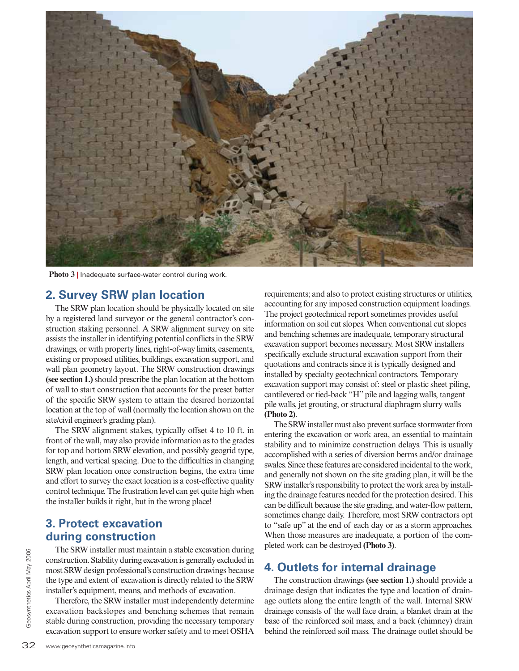

**Photo 3 |** Inadequate surface-water control during work.

#### **2. Survey SRW plan location**

The SRW plan location should be physically located on site by a registered land surveyor or the general contractor's construction staking personnel. A SRW alignment survey on site assists the installer in identifying potential conflicts in the SRW drawings, or with property lines, right-of-way limits, easements, existing or proposed utilities, buildings, excavation support, and wall plan geometry layout. The SRW construction drawings **(see section 1.)** should prescribe the plan location at the bottom of wall to start construction that accounts for the preset batter of the specific SRW system to attain the desired horizontal location at the top of wall (normally the location shown on the site/civil engineer's grading plan).

The SRW alignment stakes, typically offset 4 to 10 ft. in front of the wall, may also provide information as to the grades for top and bottom SRW elevation, and possibly geogrid type, length, and vertical spacing. Due to the difficulties in changing SRW plan location once construction begins, the extra time and effort to survey the exact location is a cost-effective quality control technique. The frustration level can get quite high when the installer builds it right, but in the wrong place!

#### **3. Protect excavation during construction**

32<br>  $\frac{2}{3}$  The SKW design professic<br>  $\frac{1}{3}$  most SRW design professic<br>
the type and extent of exca<br>
installer's equipment, mean<br>
Therefore, the SRW inst<br>
excavation backslopes ar<br>
stable during construction,<br>
excava The SRW installer must maintain a stable excavation during construction. Stability during excavation is generally excluded in most SRW design professional's construction drawings because the type and extent of excavation is directly related to the SRW installer's equipment, means, and methods of excavation.

Therefore, the SRW installer must independently determine excavation backslopes and benching schemes that remain stable during construction, providing the necessary temporary excavation support to ensure worker safety and to meet OSHA requirements; and also to protect existing structures or utilities, accounting for any imposed construction equipment loadings. The project geotechnical report sometimes provides useful information on soil cut slopes. When conventional cut slopes and benching schemes are inadequate, temporary structural excavation support becomes necessary. Most SRW installers specifically exclude structural excavation support from their quotations and contracts since it is typically designed and installed by specialty geotechnical contractors. Temporary excavation support may consist of: steel or plastic sheet piling, cantilevered or tied-back "H" pile and lagging walls, tangent pile walls, jet grouting, or structural diaphragm slurry walls **(Photo 2)**.

The SRW installer must also prevent surface stormwater from entering the excavation or work area, an essential to maintain stability and to minimize construction delays. This is usually accomplished with a series of diversion berms and/or drainage swales. Since these features are considered incidental to the work, and generally not shown on the site grading plan, it will be the SRW installer's responsibility to protect the work area by installing the drainage features needed for the protection desired. This can be difficult because the site grading, and water-flow pattern, sometimes change daily. Therefore, most SRW contractors opt to "safe up" at the end of each day or as a storm approaches. When those measures are inadequate, a portion of the completed work can be destroyed **(Photo 3)**.

#### **4. Outlets for internal drainage**

The construction drawings **(see section 1.)** should provide a drainage design that indicates the type and location of drainage outlets along the entire length of the wall. Internal SRW drainage consists of the wall face drain, a blanket drain at the base of the reinforced soil mass, and a back (chimney) drain behind the reinforced soil mass. The drainage outlet should be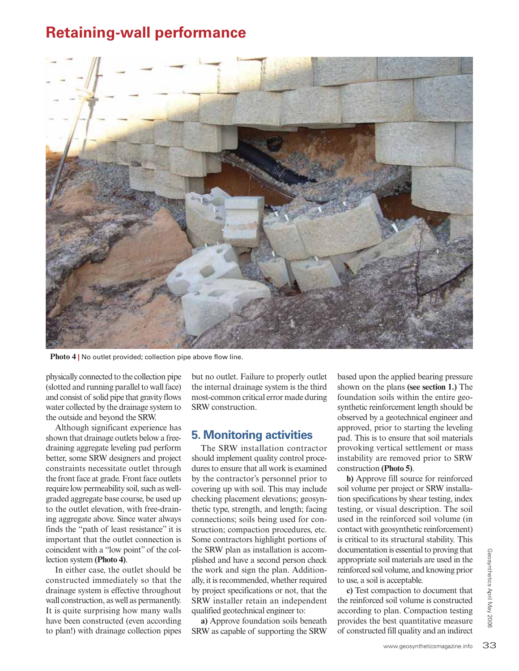## **Retaining-wall performance**



**Photo 4 |** No outlet provided; collection pipe above flow line.

physically connected to the collection pipe (slotted and running parallel to wall face) and consist of solid pipe that gravity flows water collected by the drainage system to the outside and beyond the SRW.

Although significant experience has shown that drainage outlets below a freedraining aggregate leveling pad perform better, some SRW designers and project constraints necessitate outlet through the front face at grade. Front face outlets require low permeability soil, such as wellgraded aggregate base course, be used up to the outlet elevation, with free-draining aggregate above. Since water always finds the "path of least resistance" it is important that the outlet connection is coincident with a "low point" of the collection system **(Photo 4)**.

In either case, the outlet should be constructed immediately so that the drainage system is effective throughout wall construction, as well as permanently. It is quite surprising how many walls have been constructed (even according to plan!) with drainage collection pipes

but no outlet. Failure to properly outlet the internal drainage system is the third most-common critical error made during SRW construction.

#### **5. Monitoring activities**

The SRW installation contractor should implement quality control procedures to ensure that all work is examined by the contractor's personnel prior to covering up with soil. This may include checking placement elevations; geosynthetic type, strength, and length; facing connections; soils being used for construction; compaction procedures, etc. Some contractors highlight portions of the SRW plan as installation is accomplished and have a second person check the work and sign the plan. Additionally, it is recommended, whether required by project specifications or not, that the SRW installer retain an independent qualified geotechnical engineer to:

**a)** Approve foundation soils beneath SRW as capable of supporting the SRW

based upon the applied bearing pressure shown on the plans **(see section 1.)** The foundation soils within the entire geosynthetic reinforcement length should be observed by a geotechnical engineer and approved, prior to starting the leveling pad. This is to ensure that soil materials provoking vertical settlement or mass instability are removed prior to SRW construction **(Photo 5)**.

**b)** Approve fill source for reinforced soil volume per project or SRW installation specifications by shear testing, index testing, or visual description. The soil used in the reinforced soil volume (in contact with geosynthetic reinforcement) is critical to its structural stability. This documentation is essential to proving that appropriate soil materials are used in the reinforced soil volume, and knowing prior to use, a soil is acceptable.

m is essential to proving that<br>
bil materials are used in the<br>
volume, and knowing prior<br>
s acceptable.<br>
npaction to document that<br>
soil volume is constructed<br>
plan. Compaction testing<br>
best quantitative measure<br>
if ill q **c)** Test compaction to document that the reinforced soil volume is constructed according to plan. Compaction testing provides the best quantitative measure of constructed fill quality and an indirect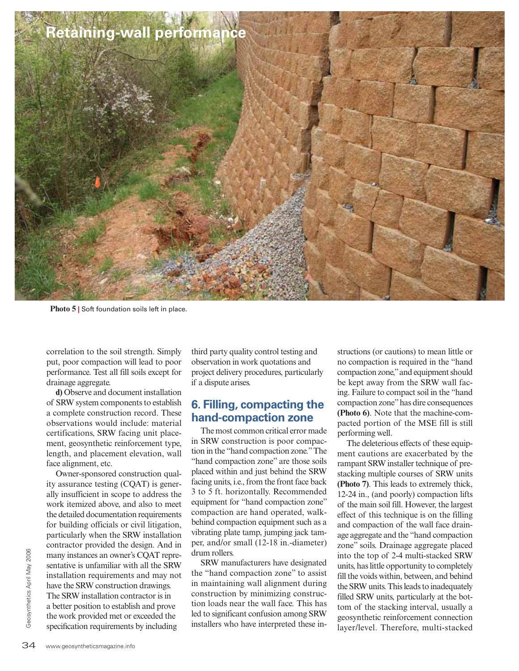

**Photo 5 |** Soft foundation soils left in place.

correlation to the soil strength. Simply put, poor compaction will lead to poor performance. Test all fill soils except for drainage aggregate.

**d)** Observe and document installation of SRW system components to establish a complete construction record. These observations would include: material certifications, SRW facing unit placement, geosynthetic reinforcement type, length, and placement elevation, wall face alignment, etc.

9<br>  $\frac{2}{3}$  many instances an owner's<br>
sentative is unfamiliar with<br>
installation requirements<br>
have the SRW construction<br>
The SRW installation cont<br>
a better position to establis<br>
the work provided met or e<br>
specificati Owner-sponsored construction quality assurance testing (CQAT) is generally insufficient in scope to address the work itemized above, and also to meet the detailed documentation requirements for building officials or civil litigation, particularly when the SRW installation contractor provided the design. And in many instances an owner's CQAT representative is unfamiliar with all the SRW installation requirements and may not have the SRW construction drawings. The SRW installation contractor is in a better position to establish and prove the work provided met or exceeded the specification requirements by including

third party quality control testing and observation in work quotations and project delivery procedures, particularly if a dispute arises.

#### **6. Filling, compacting the hand-compaction zone**

The most common critical error made in SRW construction is poor compaction in the "hand compaction zone." The "hand compaction zone" are those soils placed within and just behind the SRW facing units, i.e., from the front face back 3 to 5 ft. horizontally. Recommended equipment for "hand compaction zone" compaction are hand operated, walkbehind compaction equipment such as a vibrating plate tamp, jumping jack tamper, and/or small (12-18 in.-diameter) drum rollers.

SRW manufacturers have designated the "hand compaction zone" to assist in maintaining wall alignment during construction by minimizing construction loads near the wall face. This has led to significant confusion among SRW installers who have interpreted these instructions (or cautions) to mean little or no compaction is required in the "hand compaction zone," and equipment should be kept away from the SRW wall facing. Failure to compact soil in the "hand compaction zone" has dire consequences **(Photo 6)**. Note that the machine-compacted portion of the MSE fill is still performing well.

The deleterious effects of these equipment cautions are exacerbated by the rampant SRW installer technique of prestacking multiple courses of SRW units **(Photo 7)**. This leads to extremely thick, 12-24 in., (and poorly) compaction lifts of the main soil fill. However, the largest effect of this technique is on the filling and compaction of the wall face drainage aggregate and the "hand compaction zone" soils. Drainage aggregate placed into the top of 2-4 multi-stacked SRW units, has little opportunity to completely fill the voids within, between, and behind the SRW units. This leads to inadequately filled SRW units, particularly at the bottom of the stacking interval, usually a geosynthetic reinforcement connection layer/level. Therefore, multi-stacked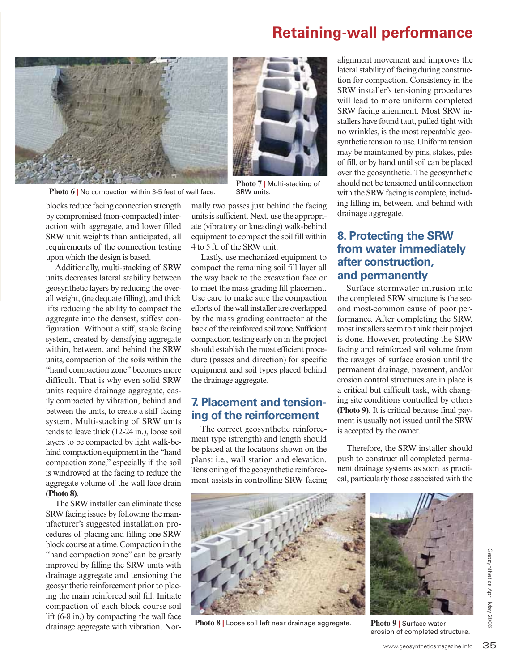## **Retaining-wall performance**



**Photo 6 |** No compaction within 3-5 feet of wall face.

blocks reduce facing connection strength by compromised (non-compacted) interaction with aggregate, and lower filled SRW unit weights than anticipated, all requirements of the connection testing upon which the design is based.

Additionally, multi-stacking of SRW units decreases lateral stability between geosynthetic layers by reducing the overall weight, (inadequate filling), and thick lifts reducing the ability to compact the aggregate into the densest, stiffest configuration. Without a stiff, stable facing system, created by densifying aggregate within, between, and behind the SRW units, compaction of the soils within the "hand compaction zone" becomes more difficult. That is why even solid SRW units require drainage aggregate, easily compacted by vibration, behind and between the units, to create a stiff facing system. Multi-stacking of SRW units tends to leave thick (12-24 in.), loose soil layers to be compacted by light walk-behind compaction equipment in the "hand compaction zone," especially if the soil is windrowed at the facing to reduce the aggregate volume of the wall face drain **(Photo 8)**.

The SRW installer can eliminate these SRW facing issues by following the manufacturer's suggested installation procedures of placing and filling one SRW block course at a time. Compaction in the "hand compaction zone" can be greatly improved by filling the SRW units with drainage aggregate and tensioning the geosynthetic reinforcement prior to placing the main reinforced soil fill. Initiate compaction of each block course soil lift (6-8 in.) by compacting the wall face drainage aggregate with vibration. Normally two passes just behind the facing units is sufficient. Next, use the appropriate (vibratory or kneading) walk-behind equipment to compact the soil fill within 4 to 5 ft. of the SRW unit.

**Photo 7 |** Multi-stacking of

Lastly, use mechanized equipment to compact the remaining soil fill layer all the way back to the excavation face or to meet the mass grading fill placement. Use care to make sure the compaction efforts of the wall installer are overlapped by the mass grading contractor at the back of the reinforced soil zone. Sufficient compaction testing early on in the project should establish the most efficient procedure (passes and direction) for specific equipment and soil types placed behind the drainage aggregate.

#### **7. Placement and tensioning of the reinforcement**

The correct geosynthetic reinforcement type (strength) and length should be placed at the locations shown on the plans: i.e., wall station and elevation. Tensioning of the geosynthetic reinforcement assists in controlling SRW facing

alignment movement and improves the lateral stability of facing during construction for compaction. Consistency in the SRW installer's tensioning procedures will lead to more uniform completed SRW facing alignment. Most SRW installers have found taut, pulled tight with no wrinkles, is the most repeatable geosynthetic tension to use. Uniform tension may be maintained by pins, stakes, piles of fill, or by hand until soil can be placed over the geosynthetic. The geosynthetic should not be tensioned until connection with the SRW facing is complete, including filling in, between, and behind with drainage aggregate.

#### **8. Protecting the SRW from water immediately after construction, and permanently**

Surface stormwater intrusion into the completed SRW structure is the second most-common cause of poor performance. After completing the SRW, most installers seem to think their project is done. However, protecting the SRW facing and reinforced soil volume from the ravages of surface erosion until the permanent drainage, pavement, and/or erosion control structures are in place is a critical but difficult task, with changing site conditions controlled by others **(Photo 9)**. It is critical because final payment is usually not issued until the SRW is accepted by the owner.

Therefore, the SRW installer should push to construct all completed permanent drainage systems as soon as practical, particularly those associated with the



**Photo 8 |** Loose soil left near drainage aggregate. **Photo 9 |** Surface water